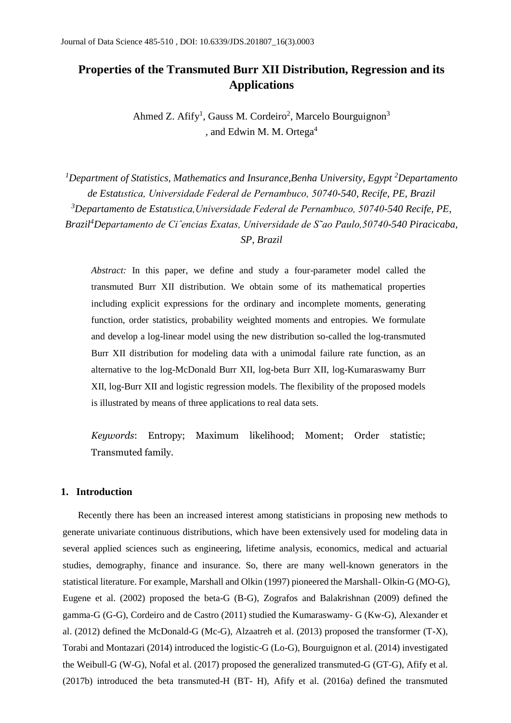# **Properties of the Transmuted Burr XII Distribution, Regression and its Applications**

Ahmed Z. Afify<sup>1</sup>, Gauss M. Cordeiro<sup>2</sup>, Marcelo Bourguignon<sup>3</sup> , and Edwin M. M. Ortega<sup>4</sup>

*<sup>1</sup>Department of Statistics, Mathematics and Insurance,Benha University, Egypt <sup>2</sup>Departamento de Estatıstica, Universidade Federal de Pernambuco, 50740-540, Recife, PE, Brazil <sup>3</sup>Departamento de Estatıstica,Universidade Federal de Pernambuco, 50740-540 Recife, PE, Brazil<sup>4</sup>Departamento de Ciˆencias Exatas, Universidade de S˜ao Paulo,50740-540 Piracicaba, SP, Brazil*

*Abstract:* In this paper, we define and study a four-parameter model called the transmuted Burr XII distribution. We obtain some of its mathematical properties including explicit expressions for the ordinary and incomplete moments, generating function, order statistics, probability weighted moments and entropies. We formulate and develop a log-linear model using the new distribution so-called the log-transmuted Burr XII distribution for modeling data with a unimodal failure rate function, as an alternative to the log-McDonald Burr XII, log-beta Burr XII, log-Kumaraswamy Burr XII, log-Burr XII and logistic regression models. The flexibility of the proposed models is illustrated by means of three applications to real data sets.

*Keywords*: Entropy; Maximum likelihood; Moment; Order statistic; Transmuted family.

#### **1. Introduction**

Recently there has been an increased interest among statisticians in proposing new methods to generate univariate continuous distributions, which have been extensively used for modeling data in several applied sciences such as engineering, lifetime analysis, economics, medical and actuarial studies, demography, finance and insurance. So, there are many well-known generators in the statistical literature. For example, Marshall and Olkin (1997) pioneered the Marshall- Olkin-G (MO-G), Eugene et al. (2002) proposed the beta-G (B-G), Zografos and Balakrishnan (2009) defined the gamma-G (G-G), Cordeiro and de Castro (2011) studied the Kumaraswamy- G (Kw-G), Alexander et al. (2012) defined the McDonald-G (Mc-G), Alzaatreh et al. (2013) proposed the transformer (T-X), Torabi and Montazari (2014) introduced the logistic-G (Lo-G), Bourguignon et al. (2014) investigated the Weibull-G (W-G), Nofal et al. (2017) proposed the generalized transmuted-G (GT-G), Afify et al. (2017b) introduced the beta transmuted-H (BT- H), Afify et al. (2016a) defined the transmuted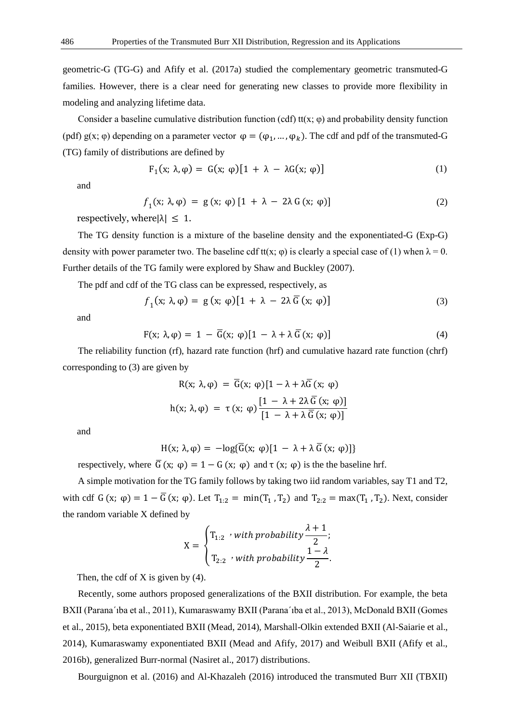geometric-G (TG-G) and Afify et al. (2017a) studied the complementary geometric transmuted-G families. However, there is a clear need for generating new classes to provide more flexibility in modeling and analyzing lifetime data.

Consider a baseline cumulative distribution function (cdf) tt(x;  $\varphi$ ) and probability density function (pdf) g(x;  $\varphi$ ) depending on a parameter vector  $\varphi = (\varphi_1, ..., \varphi_k)$ . The cdf and pdf of the transmuted-G (TG) family of distributions are defined by

$$
F_1(x; \lambda, \varphi) = G(x; \varphi)[1 + \lambda - \lambda G(x; \varphi)] \tag{1}
$$

and

$$
f_1(x; \lambda, \varphi) = g(x; \varphi) [1 + \lambda - 2\lambda G(x; \varphi)] \tag{2}
$$

respectively, where  $|\lambda| \leq 1$ .

The TG density function is a mixture of the baseline density and the exponentiated-G (Exp-G) density with power parameter two. The baseline cdf tt(x;  $\varphi$ ) is clearly a special case of (1) when  $\lambda = 0$ . Further details of the TG family were explored by Shaw and Buckley (2007).

The pdf and cdf of the TG class can be expressed, respectively, as

$$
f_1(x; \lambda, \varphi) = g(x; \varphi)[1 + \lambda - 2\lambda \overline{G}(x; \varphi)] \tag{3}
$$

and

$$
F(x; \lambda, \varphi) = 1 - \overline{G}(x; \varphi)[1 - \lambda + \lambda \overline{G}(x; \varphi)] \tag{4}
$$

The reliability function (rf), hazard rate function (hrf) and cumulative hazard rate function (chrf) corresponding to (3) are given by

$$
R(x; \lambda, \varphi) = \overline{G}(x; \varphi)[1 - \lambda + \lambda \overline{G}(x; \varphi)]
$$
  
h(x; \lambda, \varphi) =  $\tau$  (x; \varphi)  $\frac{[1 - \lambda + 2\lambda \overline{G}(x; \varphi)]}{[1 - \lambda + \lambda \overline{G}(x; \varphi)]}$ 

and

$$
H(x; \lambda, \varphi) = -log{\{\overline{G}(x; \varphi)[1 - \lambda + \lambda \overline{G}(x; \varphi)]\}}
$$

respectively, where  $\overline{G}(x; \varphi) = 1 - G(x; \varphi)$  and  $\tau(x; \varphi)$  is the the baseline hrf.

A simple motivation for the TG family follows by taking two iid random variables, say T1 and T2, with cdf G (x;  $\varphi$ ) = 1 –  $\overline{G}$  (x;  $\varphi$ ). Let  $T_{1:2} = \min(T_1, T_2)$  and  $T_{2:2} = \max(T_1, T_2)$ . Next, consider the random variable X defined by

$$
X=\begin{cases}T_{1:2} \ \ \text{with probability} \frac{\lambda+1}{2};\\ T_{2:2} \ \ \text{with probability} \frac{1-\lambda}{2}.\end{cases}
$$

Then, the cdf of  $X$  is given by (4).

Recently, some authors proposed generalizations of the BXII distribution. For example, the beta BXII (Parana´ıba et al., 2011), Kumaraswamy BXII (Parana´ıba et al., 2013), McDonald BXII (Gomes et al., 2015), beta exponentiated BXII (Mead, 2014), Marshall-Olkin extended BXII (Al-Saiarie et al., 2014), Kumaraswamy exponentiated BXII (Mead and Afify, 2017) and Weibull BXII (Afify et al., 2016b), generalized Burr-normal (Nasiret al., 2017) distributions.

Bourguignon et al. (2016) and Al-Khazaleh (2016) introduced the transmuted Burr XII (TBXII)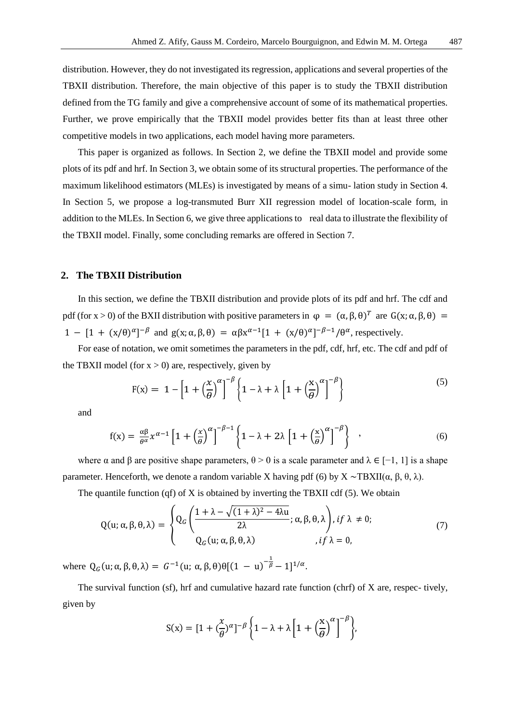distribution. However, they do not investigated its regression, applications and several properties of the TBXII distribution. Therefore, the main objective of this paper is to study the TBXII distribution defined from the TG family and give a comprehensive account of some of its mathematical properties. Further, we prove empirically that the TBXII model provides better fits than at least three other competitive models in two applications, each model having more parameters.

This paper is organized as follows. In Section 2, we define the TBXII model and provide some plots of its pdf and hrf. In Section 3, we obtain some of its structural properties. The performance of the maximum likelihood estimators (MLEs) is investigated by means of a simu- lation study in Section 4. In Section 5, we propose a log-transmuted Burr XII regression model of location-scale form, in addition to the MLEs. In Section 6, we give three applications to real data to illustrate the flexibility of the TBXII model. Finally, some concluding remarks are offered in Section 7.

#### **2. The TBXII Distribution**

In this section, we define the TBXII distribution and provide plots of its pdf and hrf. The cdf and pdf (for x > 0) of the BXII distribution with positive parameters in  $\varphi = (\alpha, \beta, \theta)^T$  are  $G(x; \alpha, \beta, \theta) =$ 1 –  $[1 + (x/\theta)^{\alpha}]^{-\beta}$  and  $g(x; \alpha, \beta, \theta) = \alpha \beta x^{\alpha-1} [1 + (x/\theta)^{\alpha}]^{-\beta-1} / \theta^{\alpha}$ , respectively.

For ease of notation, we omit sometimes the parameters in the pdf, cdf, hrf, etc. The cdf and pdf of the TBXII model (for  $x > 0$ ) are, respectively, given by

$$
F(x) = 1 - \left[1 + \left(\frac{x}{\theta}\right)^{\alpha}\right]^{-\beta} \left\{1 - \lambda + \lambda \left[1 + \left(\frac{x}{\theta}\right)^{\alpha}\right]^{-\beta}\right\}
$$
(5)

and

$$
f(x) = \frac{\alpha \beta}{\theta^{\alpha}} x^{\alpha - 1} \left[ 1 + \left( \frac{x}{\theta} \right)^{\alpha} \right]^{-\beta - 1} \left\{ 1 - \lambda + 2\lambda \left[ 1 + \left( \frac{x}{\theta} \right)^{\alpha} \right]^{-\beta} \right\} , \tag{6}
$$

where  $\alpha$  and  $\beta$  are positive shape parameters,  $\theta > 0$  is a scale parameter and  $\lambda \in [-1, 1]$  is a shape parameter. Henceforth, we denote a random variable X having pdf (6) by  $X \sim TBXII(\alpha, \beta, \theta, \lambda)$ .

The quantile function (qf) of X is obtained by inverting the TBXII cdf (5). We obtain

$$
Q(u; \alpha, \beta, \theta, \lambda) = \begin{cases} Q_G\left(\frac{1 + \lambda - \sqrt{(1 + \lambda)^2 - 4\lambda u}}{2\lambda}; \alpha, \beta, \theta, \lambda\right), if \lambda \neq 0; \\ Q_G(u; \alpha, \beta, \theta, \lambda) \end{cases}
$$
(7)

where  $Q_G(u; \alpha, \beta, \theta, \lambda) = G^{-1}(u; \alpha, \beta, \theta) \theta [(1 - u)^{-\frac{1}{\beta}} - 1]^{1/\alpha}$ .

The survival function (sf), hrf and cumulative hazard rate function (chrf) of X are, respec- tively, given by

$$
S(x) = \left[1 + \left(\frac{x}{\theta}\right)^{\alpha}\right]^{-\beta} \left\{1 - \lambda + \lambda \left[1 + \left(\frac{x}{\theta}\right)^{\alpha}\right]^{-\beta}\right\},\,
$$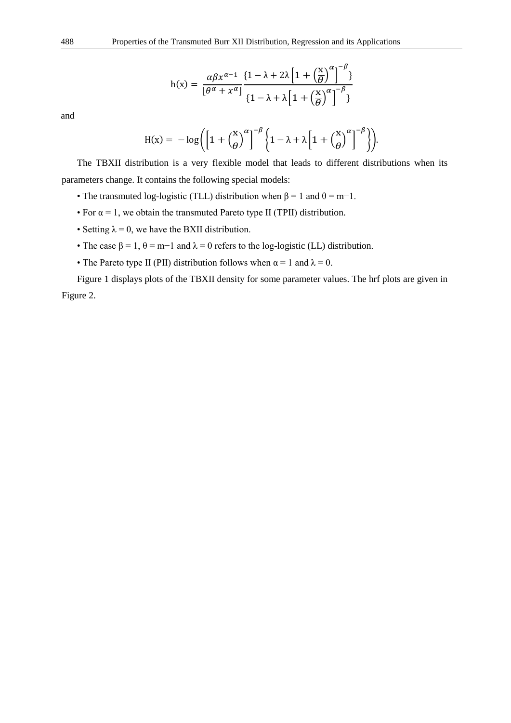$$
h(x) = \frac{\alpha \beta x^{\alpha - 1}}{[\theta^{\alpha} + x^{\alpha}]} \frac{\{1 - \lambda + 2\lambda \left[1 + \left(\frac{x}{\theta}\right)^{\alpha}\right]^{-\beta}\}}{\{1 - \lambda + \lambda \left[1 + \left(\frac{x}{\theta}\right)^{\alpha}\right]^{-\beta}\}}
$$

and

$$
H(x) = -\log\left(\left[1 + \left(\frac{x}{\theta}\right)^{\alpha}\right]^{-\beta} \left\{1 - \lambda + \lambda\left[1 + \left(\frac{x}{\theta}\right)^{\alpha}\right]^{-\beta}\right\}\right).
$$

The TBXII distribution is a very flexible model that leads to different distributions when its parameters change. It contains the following special models:

- The transmuted log-logistic (TLL) distribution when  $\beta = 1$  and  $\theta = m-1$ .
- For  $\alpha = 1$ , we obtain the transmuted Pareto type II (TPII) distribution.
- Setting  $\lambda = 0$ , we have the BXII distribution.
- The case  $\beta = 1$ ,  $\theta = m-1$  and  $\lambda = 0$  refers to the log-logistic (LL) distribution.
- The Pareto type II (PII) distribution follows when  $\alpha = 1$  and  $\lambda = 0$ .

Figure 1 displays plots of the TBXII density for some parameter values. The hrf plots are given in Figure 2.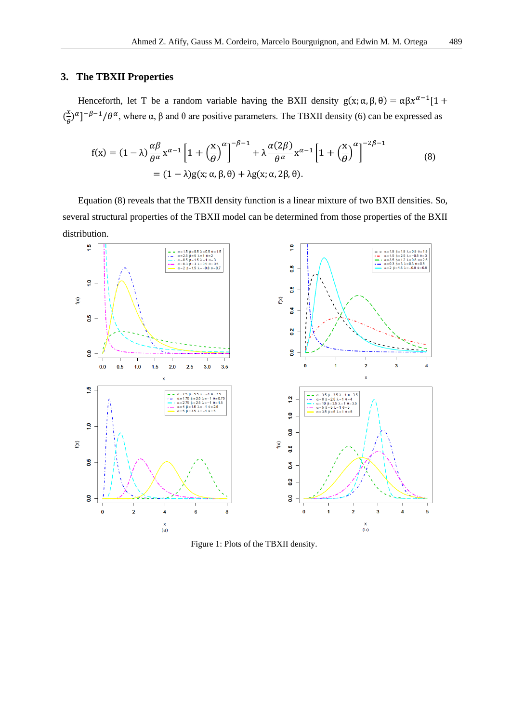# **3. The TBXII Properties**

Henceforth, let T be a random variable having the BXII density  $g(x; \alpha, \beta, \theta) = \alpha \beta x^{\alpha-1} [1 +$  $\left(\frac{x}{a}\right)$  $\frac{x}{\theta}$ )<sup> $\alpha$ </sup>]<sup>- $\beta$ -1/ $\theta$ <sup> $\alpha$ </sup>, where  $\alpha$ ,  $\beta$  and  $\theta$  are positive parameters. The TBXII density (6) can be expressed as</sup>

$$
f(x) = (1 - \lambda) \frac{\alpha \beta}{\theta^{\alpha}} x^{\alpha - 1} \left[ 1 + \left(\frac{x}{\theta}\right)^{\alpha} \right]^{-\beta - 1} + \lambda \frac{\alpha (2\beta)}{\theta^{\alpha}} x^{\alpha - 1} \left[ 1 + \left(\frac{x}{\theta}\right)^{\alpha} \right]^{-2\beta - 1}
$$
  
=  $(1 - \lambda)g(x; \alpha, \beta, \theta) + \lambda g(x; \alpha, 2\beta, \theta).$  (8)

Equation (8) reveals that the TBXII density function is a linear mixture of two BXII densities. So, several structural properties of the TBXII model can be determined from those properties of the BXII distribution.



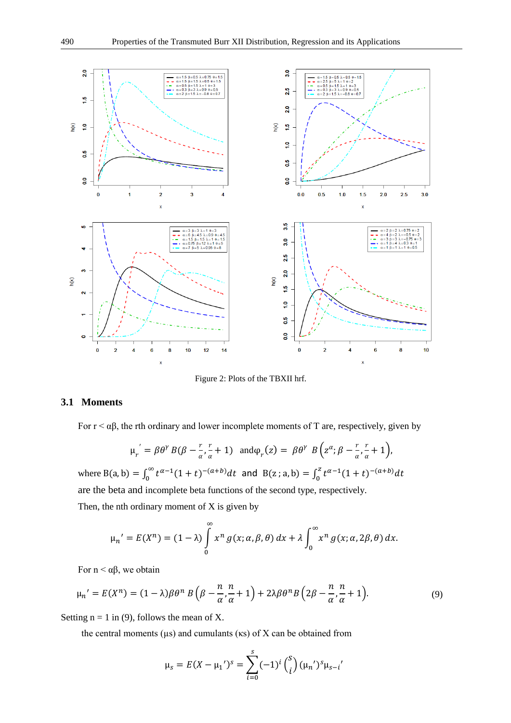

Figure 2: Plots of the TBXII hrf.

# **3.1 Moments**

For  $r < \alpha\beta$ , the rth ordinary and lower incomplete moments of T are, respectively, given by

$$
\mu_r = \beta \theta^{\gamma} B(\beta - \frac{r}{\alpha}, \frac{r}{\alpha} + 1) \quad \text{and} \varphi_r(z) = \beta \theta^{\gamma} B\left(z^{\alpha}; \beta - \frac{r}{\alpha}, \frac{r}{\alpha} + 1\right),
$$

where B(a, b) =  $\int_0^\infty t^{\alpha-1}(1+t)^{-(a+b)}dt$  and B(z; a, b) =  $\int_0^z t^{\alpha-1}(1+t)^{-(a+b)}dt$ are the beta and incomplete beta functions of the second type, respectively.

Then, the nth ordinary moment of  $X$  is given by

$$
\mu_n' = E(X^n) = (1 - \lambda) \int_0^\infty x^n g(x; \alpha, \beta, \theta) dx + \lambda \int_0^\infty x^n g(x; \alpha, 2\beta, \theta) dx.
$$

For  $n < \alpha\beta$ , we obtain

$$
\mu_n' = E(X^n) = (1 - \lambda)\beta\theta^n B\left(\beta - \frac{n}{\alpha}, \frac{n}{\alpha} + 1\right) + 2\lambda\beta\theta^n B\left(2\beta - \frac{n}{\alpha}, \frac{n}{\alpha} + 1\right). \tag{9}
$$

Setting  $n = 1$  in (9), follows the mean of X.

the central moments ( $\mu$ s) and cumulants ( $\kappa$ s) of X can be obtained from

$$
\mu_{s} = E(X - \mu_{1})^{s} = \sum_{i=0}^{s} (-1)^{i} {s \choose i} (\mu_{n})^{s} \mu_{s-i}
$$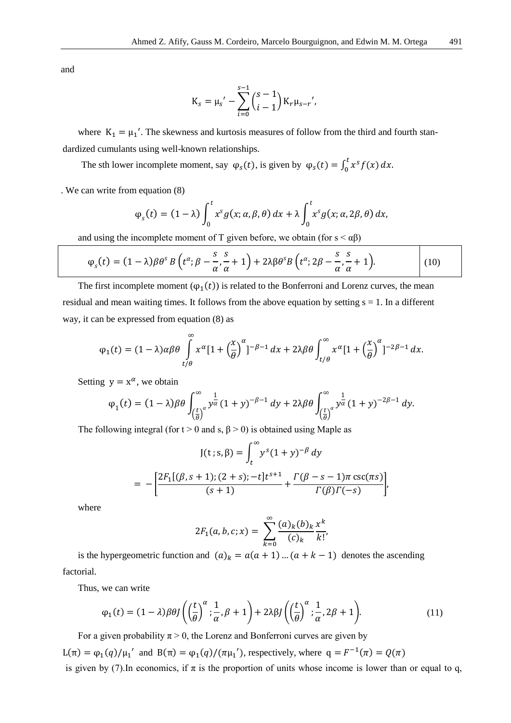and

$$
K_{s} = \mu_{s}' - \sum_{i=0}^{s-1} {s-1 \choose i-1} K_{r} \mu_{s-r}'.
$$

where  $K_1 = \mu_1'$ . The skewness and kurtosis measures of follow from the third and fourth standardized cumulants using well-known relationships.

The sth lower incomplete moment, say  $\varphi_s(t)$ , is given by  $\varphi_s(t) = \int_0^t x^s f(x) dx$ .

. We can write from equation (8)

$$
\varphi_s(t) = (1 - \lambda) \int_0^t x^s g(x; \alpha, \beta, \theta) dx + \lambda \int_0^t x^s g(x; \alpha, 2\beta, \theta) dx,
$$

and using the incomplete moment of T given before, we obtain (for  $s < \alpha\beta$ )

$$
\varphi_s(t) = (1 - \lambda)\beta\theta^s B\left(t^{\alpha}; \beta - \frac{s}{\alpha}, \frac{s}{\alpha} + 1\right) + 2\lambda\beta\theta^s B\left(t^{\alpha}; 2\beta - \frac{s}{\alpha}, \frac{s}{\alpha} + 1\right).
$$
 (10)

The first incomplete moment  $(\varphi_1(t))$  is related to the Bonferroni and Lorenz curves, the mean residual and mean waiting times. It follows from the above equation by setting  $s = 1$ . In a different way, it can be expressed from equation (8) as

$$
\varphi_1(t) = (1 - \lambda)\alpha\beta\theta \int_{t/\theta}^{\infty} x^{\alpha} [1 + \left(\frac{x}{\theta}\right)^{\alpha}]^{-\beta - 1} dx + 2\lambda\beta\theta \int_{t/\theta}^{\infty} x^{\alpha} [1 + \left(\frac{x}{\theta}\right)^{\alpha}]^{-2\beta - 1} dx.
$$

Setting  $y = x^{\alpha}$ , we obtain

$$
\varphi_1(t) = (1 - \lambda)\beta \theta \int_{\left(\frac{t}{\theta}\right)^{\alpha}}^{\infty} y^{\frac{1}{\alpha}} (1 + y)^{-\beta - 1} dy + 2\lambda \beta \theta \int_{\left(\frac{t}{\theta}\right)^{\alpha}}^{\infty} y^{\frac{1}{\alpha}} (1 + y)^{-2\beta - 1} dy.
$$

The following integral (for  $t > 0$  and s,  $\beta > 0$ ) is obtained using Maple as

$$
J(t; s, \beta) = \int_{t}^{\infty} y^{s} (1 + y)^{-\beta} dy
$$
  
= 
$$
-\left[\frac{2F_{1}[(\beta, s+1); (2 + s); -t]t^{s+1}}{(s+1)} + \frac{\Gamma(\beta - s - 1)\pi \csc(\pi s)}{\Gamma(\beta)\Gamma(-s)}\right],
$$

where

$$
2F_1(a, b, c; x) = \sum_{k=0}^{\infty} \frac{(a)_k (b)_k x^k}{(c)_k k!}
$$

is the hypergeometric function and  $(a)_k = a(a + 1) ... (a + k - 1)$  denotes the ascending factorial.

Thus, we can write

$$
\varphi_1(t) = (1 - \lambda)\beta\theta J\left(\left(\frac{t}{\theta}\right)^{\alpha}; \frac{1}{\alpha}, \beta + 1\right) + 2\lambda\beta J\left(\left(\frac{t}{\theta}\right)^{\alpha}; \frac{1}{\alpha}, 2\beta + 1\right).
$$
\n(11)

For a given probability  $\pi > 0$ , the Lorenz and Bonferroni curves are given by L(π) =  $\varphi_1(q)/\mu_1'$  and B(π) =  $\varphi_1(q)/(\pi\mu_1')$ , respectively, where q =  $F^{-1}(\pi) = Q(\pi)$ is given by (7). In economics, if  $\pi$  is the proportion of units whose income is lower than or equal to q,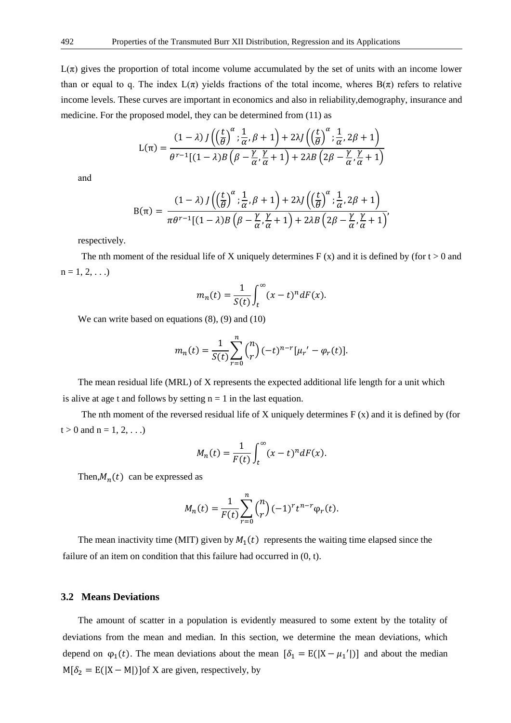$L(\pi)$  gives the proportion of total income volume accumulated by the set of units with an income lower than or equal to q. The index  $L(\pi)$  yields fractions of the total income, wheres  $B(\pi)$  refers to relative income levels. These curves are important in economics and also in reliability,demography, insurance and medicine. For the proposed model, they can be determined from (11) as

$$
L(\pi) = \frac{(1-\lambda) \int \left( \left( \frac{t}{\theta} \right)^{\alpha} ; \frac{1}{\alpha}, \beta + 1 \right) + 2\lambda \int \left( \left( \frac{t}{\theta} \right)^{\alpha} ; \frac{1}{\alpha}, 2\beta + 1 \right)}{\theta^{\tau-1} [(1-\lambda)B\left( \beta - \frac{\gamma}{\alpha}, \frac{\gamma}{\alpha} + 1 \right) + 2\lambda B \left( 2\beta - \frac{\gamma}{\alpha}, \frac{\gamma}{\alpha} + 1 \right)}
$$

and

$$
B(\pi) = \frac{(1-\lambda) \int \left(\left(\frac{t}{\theta}\right)^{\alpha} ; \frac{1}{\alpha}, \beta+1\right) + 2\lambda \int \left(\left(\frac{t}{\theta}\right)^{\alpha} ; \frac{1}{\alpha}, 2\beta+1\right)}{\pi \theta^{\tau-1} [(1-\lambda) B \left(\beta - \frac{\gamma}{\alpha}, \frac{\gamma}{\alpha} + 1\right) + 2\lambda B \left(2\beta - \frac{\gamma}{\alpha}, \frac{\gamma}{\alpha} + 1\right)}
$$

respectively.

The nth moment of the residual life of X uniquely determines  $F(x)$  and it is defined by (for  $t > 0$  and  $n = 1, 2, ...$ 

$$
m_n(t) = \frac{1}{S(t)} \int_t^{\infty} (x - t)^n dF(x).
$$

We can write based on equations  $(8)$ ,  $(9)$  and  $(10)$ 

$$
m_n(t) = \frac{1}{S(t)} \sum_{r=0}^n {n \choose r} (-t)^{n-r} [\mu_r' - \varphi_r(t)].
$$

The mean residual life (MRL) of X represents the expected additional life length for a unit which is alive at age t and follows by setting  $n = 1$  in the last equation.

The nth moment of the reversed residual life of X uniquely determines  $F(x)$  and it is defined by (for  $t > 0$  and  $n = 1, 2, ...$ 

$$
M_n(t) = \frac{1}{F(t)} \int_t^{\infty} (x - t)^n dF(x).
$$

Then, $M_n(t)$  can be expressed as

$$
M_n(t) = \frac{1}{F(t)} \sum_{r=0}^n {n \choose r} (-1)^r t^{n-r} \varphi_r(t).
$$

The mean inactivity time (MIT) given by  $M_1(t)$  represents the waiting time elapsed since the failure of an item on condition that this failure had occurred in  $(0, t)$ .

### **3.2 Means Deviations**

The amount of scatter in a population is evidently measured to some extent by the totality of deviations from the mean and median. In this section, we determine the mean deviations, which depend on  $\varphi_1(t)$ . The mean deviations about the mean  $[\delta_1 = E(|X - \mu_1'|)]$  and about the median  $M[\delta_2 = E(|X - M|)]$  of X are given, respectively, by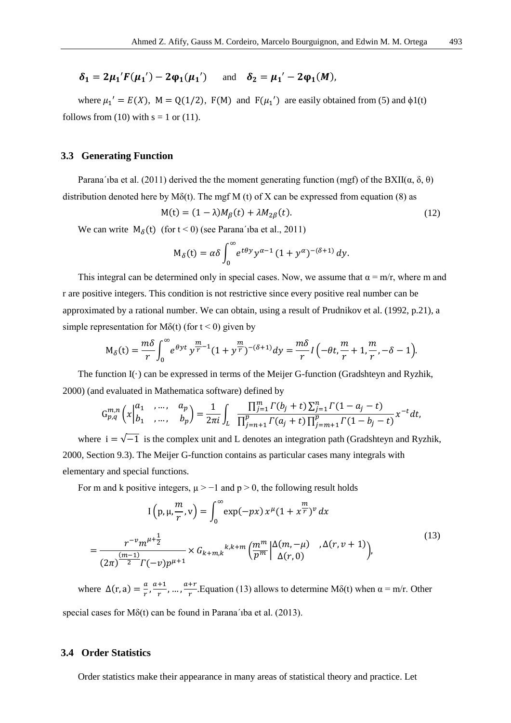$\delta_1 = 2\mu_1' F(\mu_1') - 2\varphi_1(\mu_1')$  and  $\delta_2 = \mu_1' - 2\varphi_1(M)$ ,

where  $\mu_1' = E(X)$ ,  $M = Q(1/2)$ ,  $F(M)$  and  $F(\mu_1')$  are easily obtained from (5) and  $\phi(1)$ follows from (10) with  $s = 1$  or (11).

#### **3.3 Generating Function**

Parana´ıba et al. (2011) derived the the moment generating function (mgf) of the BXII( $\alpha$ ,  $\delta$ ,  $\theta$ ) distribution denoted here by  $M\delta(t)$ . The mgf M (t) of X can be expressed from equation (8) as

$$
M(t) = (1 - \lambda)M_{\beta}(t) + \lambda M_{2\beta}(t). \tag{12}
$$

We can write  $M_{\delta}(t)$  (for  $t < 0$ ) (see Parana's ba et al., 2011)

$$
M_{\delta}(t) = \alpha \delta \int_0^{\infty} e^{t\theta y} y^{\alpha-1} (1 + y^{\alpha})^{-(\delta+1)} dy.
$$

This integral can be determined only in special cases. Now, we assume that  $\alpha = m/r$ , where m and r are positive integers. This condition is not restrictive since every positive real number can be approximated by a rational number. We can obtain, using a result of Prudnikov et al. (1992, p.21), a simple representation for M $\delta(t)$  (for  $t < 0$ ) given by

$$
M_{\delta}(t) = \frac{m\delta}{r} \int_0^{\infty} e^{\theta y t} y^{\frac{m}{r}-1} (1+y^{\frac{m}{r}})^{-(\delta+1)} dy = \frac{m\delta}{r} I\left(-\theta t, \frac{m}{r} + 1, \frac{m}{r}, -\delta - 1\right).
$$

The function  $I(\cdot)$  can be expressed in terms of the Meijer G-function (Gradshteyn and Ryzhik, 2000) (and evaluated in Mathematica software) defined by

$$
G_{p,q}^{m,n}\left(x\Big| \begin{matrix} a_1 & , \dots, & a_p \\ b_1 & , \dots, & b_p \end{matrix} \right) = \frac{1}{2\pi i} \int_L \frac{\prod_{j=1}^m \Gamma(b_j + t) \sum_{j=1}^n \Gamma(1 - a_j - t)}{\prod_{j=n+1}^p \Gamma(a_j + t) \prod_{j=m+1}^p \Gamma(1 - b_j - t)} x^{-t} dt,
$$

where  $i = \sqrt{-1}$  is the complex unit and L denotes an integration path (Gradshteyn and Ryzhik, 2000, Section 9.3). The Meijer G-function contains as particular cases many integrals with elementary and special functions.

For m and k positive integers,  $\mu$  > −1 and p > 0, the following result holds

$$
I(p, \mu, \frac{m}{r}, v) = \int_0^{\infty} \exp(-px) x^{\mu} (1 + x^{\frac{m}{r}})^{\nu} dx
$$
  
= 
$$
\frac{r^{-\nu} m^{\mu + \frac{1}{2}}}{(2\pi)^{\frac{(m-1)}{2}} \Gamma(-v) p^{\mu + 1}} \times G_{k+m,k}{}^{k,k+m} \left(\frac{m^m}{p^m} \left| \frac{\Delta(m, -\mu)}{\Delta(r, 0)} \right|, \Delta(r, v + 1) \right),
$$
 (13)

where  $\Delta(r, a) = \frac{a}{r}$  $\frac{a}{r}, \frac{a+1}{r}$  $\frac{+1}{r}, \ldots, \frac{a+r}{r}$  $\frac{H}{r}$ . Equation (13) allows to determine M $\delta(t)$  when  $\alpha = m/r$ . Other

special cases for  $M\delta(t)$  can be found in Parana' iba et al. (2013).

## **3.4 Order Statistics**

Order statistics make their appearance in many areas of statistical theory and practice. Let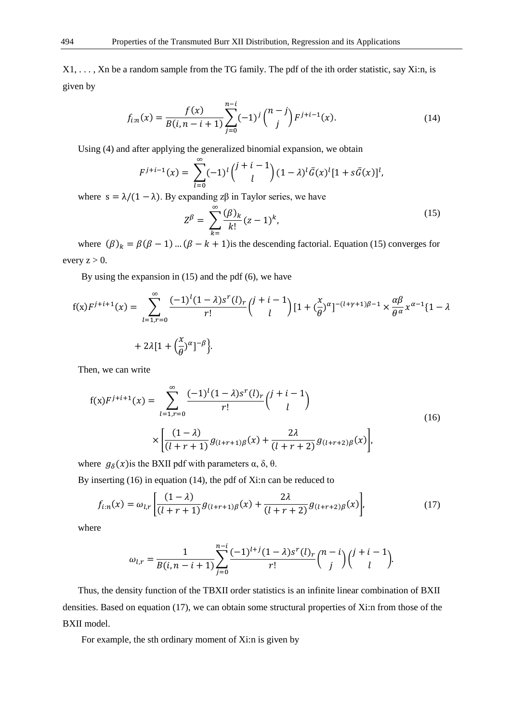X1, . . . , Xn be a random sample from the TG family. The pdf of the ith order statistic, say Xi:n, is given by

$$
f_{i:n}(x) = \frac{f(x)}{B(i, n-i+1)} \sum_{j=0}^{n-i} (-1)^j {n-j \choose j} F^{j+i-1}(x).
$$
 (14)

Using (4) and after applying the generalized binomial expansion, we obtain

$$
F^{j+i-1}(x) = \sum_{l=0}^{\infty} (-1)^l {j+i-1 \choose l} (1-\lambda)^l \bar{G}(x)^l [1+s\bar{G}(x)]^l,
$$

where  $s = \lambda/(1 - \lambda)$ . By expanding z $\beta$  in Taylor series, we have

$$
Z^{\beta} = \sum_{k=1}^{\infty} \frac{(\beta)_k}{k!} (z-1)^k,
$$
\n(15)

where  $(\beta)_k = \beta(\beta - 1)$  ...  $(\beta - k + 1)$  is the descending factorial. Equation (15) converges for every  $z > 0$ .

By using the expansion in (15) and the pdf (6), we have

$$
f(x)F^{j+i+1}(x) = \sum_{l=1,r=0}^{\infty} \frac{(-1)^l (1-\lambda)s^r(l)_r}{r!} {j+i-1 \choose l} [1 + (\frac{x}{\theta})^{\alpha}]^{-(l+\gamma+1)\beta-1} \times \frac{\alpha\beta}{\theta^{\alpha}} x^{\alpha-1} \{1-\lambda \}
$$
  
+ 2\lambda[1 + (\frac{x}{\theta})^{\alpha}]^{-\beta}.

Then, we can write

$$
f(x)F^{j+i+1}(x) = \sum_{l=1, r=0}^{\infty} \frac{(-1)^{l} (1-\lambda)s^{r}(l)_{r}}{r!} {j+i-1 \choose l}
$$
  
 
$$
\times \left[ \frac{(1-\lambda)}{(l+r+1)} g_{(l+r+1)\beta}(x) + \frac{2\lambda}{(l+r+2)} g_{(l+r+2)\beta}(x) \right],
$$
 (16)

where  $g_{\delta}(x)$  is the BXII pdf with parameters  $\alpha$ ,  $\delta$ ,  $\theta$ .

By inserting (16) in equation (14), the pdf of Xi:n can be reduced to

$$
f_{i:n}(x) = \omega_{l,r} \left[ \frac{(1-\lambda)}{(l+r+1)} g_{(l+r+1)\beta}(x) + \frac{2\lambda}{(l+r+2)} g_{(l+r+2)\beta}(x) \right],\tag{17}
$$

where

$$
\omega_{l,r} = \frac{1}{B(i, n-i+1)} \sum_{j=0}^{n-i} \frac{(-1)^{l+j} (1-\lambda) s^r(l)_r}{r!} {n-i \choose j} {j+i-1 \choose l}.
$$

Thus, the density function of the TBXII order statistics is an infinite linear combination of BXII densities. Based on equation (17), we can obtain some structural properties of Xi:n from those of the BXII model.

For example, the sth ordinary moment of Xi:n is given by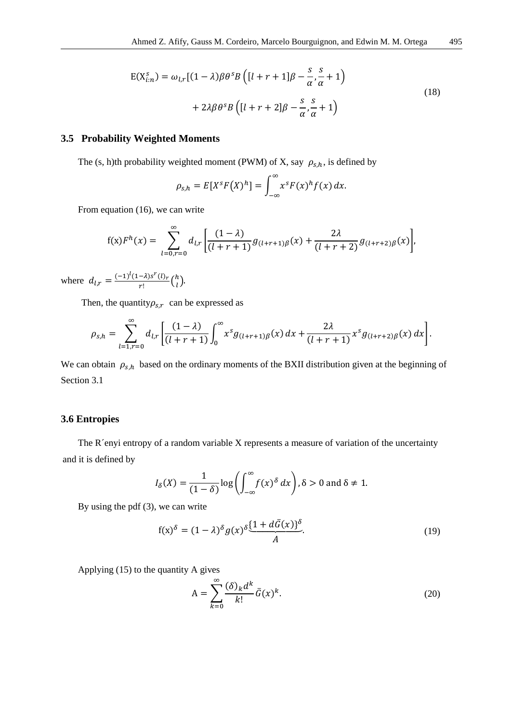$$
E(X_{i:n}^s) = \omega_{l,r}[(1-\lambda)\beta\theta^s B\left([l+r+1]\beta - \frac{s}{\alpha}, \frac{s}{\alpha} + 1\right) + 2\lambda\beta\theta^s B\left([l+r+2]\beta - \frac{s}{\alpha}, \frac{s}{\alpha} + 1\right)
$$
\n(18)

# **3.5 Probability Weighted Moments**

The (s, h)th probability weighted moment (PWM) of X, say  $\rho_{s,h}$ , is defined by

$$
\rho_{s,h} = E[X^s F(X)^h] = \int_{-\infty}^{\infty} x^s F(x)^h f(x) dx.
$$

From equation (16), we can write

$$
f(x)F^{h}(x) = \sum_{l=0,r=0}^{\infty} d_{l,r} \left[ \frac{(1-\lambda)}{(l+r+1)} g_{(l+r+1)\beta}(x) + \frac{2\lambda}{(l+r+2)} g_{(l+r+2)\beta}(x) \right],
$$

where  $d_{l,r} = \frac{(-1)^l (1-\lambda) s^r(l)_r}{r!}$  $\frac{-\lambda)s'(l)_r}{r!}$   $\binom{h}{l}$  $\binom{n}{l}$ .

Then, the quantity $\rho_{s,r}$  can be expressed as

$$
\rho_{s,h} = \sum_{l=1,r=0}^{\infty} d_{l,r} \left[ \frac{(1-\lambda)}{(l+r+1)} \int_0^{\infty} x^s g_{(l+r+1)\beta}(x) \, dx + \frac{2\lambda}{(l+r+1)} x^s g_{(l+r+2)\beta}(x) \, dx \right].
$$

We can obtain  $\rho_{s,h}$  based on the ordinary moments of the BXII distribution given at the beginning of Section 3.1

## **3.6 Entropies**

The R´enyi entropy of a random variable X represents a measure of variation of the uncertainty and it is defined by

$$
I_{\delta}(X) = \frac{1}{(1-\delta)} \log \left( \int_{-\infty}^{\infty} f(x)^{\delta} dx \right), \delta > 0 \text{ and } \delta \neq 1.
$$

By using the pdf (3), we can write

$$
f(x)^{\delta} = (1 - \lambda)^{\delta} g(x)^{\delta} \underbrace{(1 + d\bar{G}(x))^{\delta}}_{A}.
$$
\n(19)

Applying (15) to the quantity A gives

$$
A = \sum_{k=0}^{\infty} \frac{(\delta)_k d^k}{k!} \bar{G}(x)^k.
$$
 (20)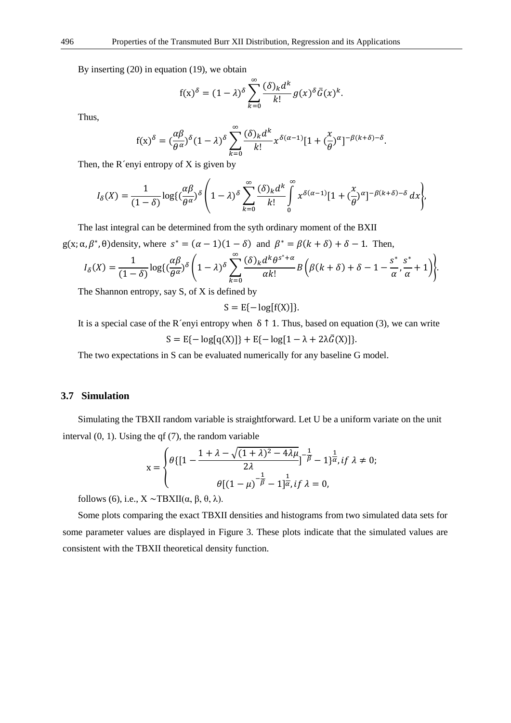By inserting (20) in equation (19), we obtain

$$
f(x)^{\delta} = (1 - \lambda)^{\delta} \sum_{k=0}^{\infty} \frac{(\delta)_k d^k}{k!} g(x)^{\delta} \bar{G}(x)^k.
$$

Thus,

$$
f(x)^{\delta} = \left(\frac{\alpha\beta}{\theta^{\alpha}}\right)^{\delta} (1-\lambda)^{\delta} \sum_{k=0}^{\infty} \frac{(\delta)_k d^k}{k!} x^{\delta(\alpha-1)} [1 + \left(\frac{x}{\theta}\right)^{\alpha}]^{-\beta(k+\delta)-\delta}.
$$

Then, the  $R'$ enyi entropy of  $X$  is given by

$$
I_{\delta}(X) = \frac{1}{(1-\delta)} \log\left(\frac{\alpha\beta}{\theta^{\alpha}}\right)^{\delta} \left(1-\lambda\right)^{\delta} \sum_{k=0}^{\infty} \frac{(\delta)_{k} d^{k}}{k!} \int_{0}^{\infty} x^{\delta(\alpha-1)} [1+(\frac{x}{\theta})^{\alpha}]^{-\beta(k+\delta)-\delta} d x\right),
$$

The last integral can be determined from the syth ordinary moment of the BXII g(x;  $\alpha$ ,  $\beta^*$ ,  $\theta$ ) density, where  $s^* = (\alpha - 1)(1 - \delta)$  and  $\beta^* = \beta(k + \delta) + \delta - 1$ . Then,

$$
I_{\delta}(X) = \frac{1}{(1-\delta)} \log\left(\frac{\alpha\beta}{\theta^{\alpha}}\right)^{\delta} \left(1-\lambda\right)^{\delta} \sum_{k=0}^{\infty} \frac{(\delta)_{k} d^{k} \theta^{s^{*}+\alpha}}{\alpha k!} B\left(\beta(k+\delta)+\delta-1-\frac{s^{*}}{\alpha},\frac{s^{*}}{\alpha}+1\right)\right\}.
$$

The Shannon entropy, say S, of X is defined by

$$
S = E\{-\log[f(X)]\}.
$$

It is a special case of the R´enyi entropy when  $\delta \uparrow 1$ . Thus, based on equation (3), we can write  $S = E\{-\log[q(X)]\} + E\{-\log[1 - \lambda + 2\lambda \bar{G}(X)]\}.$ 

The two expectations in S can be evaluated numerically for any baseline G model.

### **3.7 Simulation**

Simulating the TBXII random variable is straightforward. Let U be a uniform variate on the unit interval (0, 1). Using the qf (7), the random variable

$$
x = \begin{cases} \theta \{ \left[ 1 - \frac{1 + \lambda - \sqrt{(1 + \lambda)^2 - 4\lambda\mu}}{2\lambda} \right]^{-\frac{1}{\beta}} - 1 \}^{\frac{1}{\alpha}} & \text{if } \lambda \neq 0; \\ \theta \left[ \left( 1 - \mu \right)^{-\frac{1}{\beta}} - 1 \right]^{\frac{1}{\alpha}} & \text{if } \lambda = 0, \end{cases}
$$

follows (6), i.e.,  $X \sim TBXII(\alpha, \beta, \theta, \lambda)$ .

Some plots comparing the exact TBXII densities and histograms from two simulated data sets for some parameter values are displayed in Figure 3. These plots indicate that the simulated values are consistent with the TBXII theoretical density function.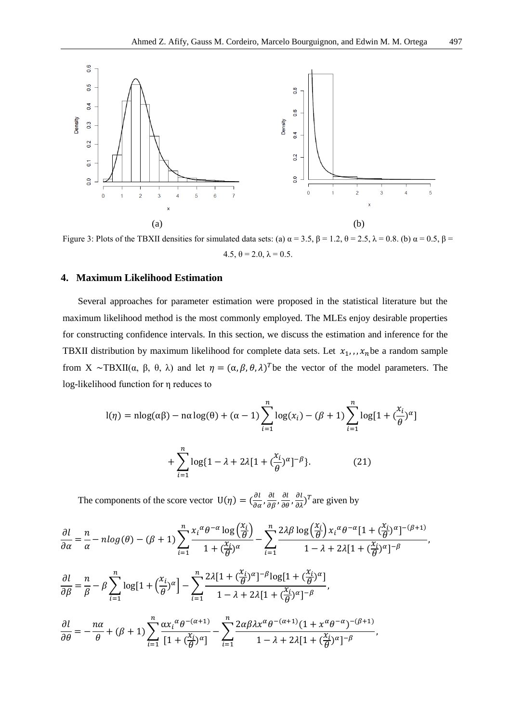

Figure 3: Plots of the TBXII densities for simulated data sets: (a)  $\alpha = 3.5$ ,  $\beta = 1.2$ ,  $\theta = 2.5$ ,  $\lambda = 0.8$ . (b)  $\alpha = 0.5$ ,  $\beta = 1.2$ 4.5,  $\theta = 2.0$ ,  $\lambda = 0.5$ .

# **4. Maximum Likelihood Estimation**

Several approaches for parameter estimation were proposed in the statistical literature but the maximum likelihood method is the most commonly employed. The MLEs enjoy desirable properties for constructing confidence intervals. In this section, we discuss the estimation and inference for the TBXII distribution by maximum likelihood for complete data sets. Let  $x_1, x_n$  be a random sample from X ~TBXII(α, β, θ, λ) and let  $\eta = (\alpha, \beta, \theta, \lambda)^T$  be the vector of the model parameters. The log-likelihood function for η reduces to

$$
l(\eta) = n \log(\alpha \beta) - n \alpha \log(\theta) + (\alpha - 1) \sum_{i=1}^{n} \log(x_i) - (\beta + 1) \sum_{i=1}^{n} \log[1 + (\frac{x_i}{\theta})^{\alpha}]
$$

$$
+ \sum_{i=1}^{n} \log[1 - \lambda + 2\lambda [1 + (\frac{x_i}{\theta})^{\alpha}]^{-\beta}].
$$
(21)

The components of the score vector  $U(\eta) = (\frac{\partial l}{\partial \alpha}, \frac{\partial l}{\partial \beta}, \frac{\partial l}{\partial \theta}, \frac{\partial l}{\partial \lambda})^T$  are given by

$$
\begin{split}\n\frac{\partial l}{\partial \alpha} &= \frac{n}{\alpha} - n \log(\theta) - (\beta + 1) \sum_{i=1}^{n} \frac{x_i^{\alpha} \theta^{-\alpha} \log\left(\frac{x_i}{\theta}\right)}{1 + \left(\frac{x_i}{\theta}\right)^{\alpha}} - \sum_{i=1}^{n} \frac{2 \lambda \beta \log\left(\frac{x_i}{\theta}\right) x_i^{\alpha} \theta^{-\alpha} [1 + \left(\frac{x_i}{\theta}\right)^{\alpha}]^{-(\beta + 1)}}{1 - \lambda + 2\lambda [1 + \left(\frac{x_i}{\theta}\right)^{\alpha}]^{-\beta}}, \\
\frac{\partial l}{\partial \beta} &= \frac{n}{\beta} - \beta \sum_{i=1}^{n} \log[1 + \left(\frac{x_i}{\theta}\right)^{\alpha}] - \sum_{i=1}^{n} \frac{2\lambda [1 + \left(\frac{x_i}{\theta}\right)^{\alpha}]^{-\beta} \log[1 + \left(\frac{x_i}{\theta}\right)^{\alpha}]}{1 - \lambda + 2\lambda [1 + \left(\frac{x_i}{\theta}\right)^{\alpha}]^{-\beta}}, \\
\frac{\partial l}{\partial \theta} &= -\frac{n\alpha}{\theta} + (\beta + 1) \sum_{i=1}^{n} \frac{\alpha x_i^{\alpha} \theta^{-\left(\alpha + 1\right)}}{[1 + \left(\frac{x_i}{\theta}\right)^{\alpha}]} - \sum_{i=1}^{n} \frac{2\alpha \beta \lambda x^{\alpha} \theta^{-\left(\alpha + 1\right)} (1 + x^{\alpha} \theta^{-\alpha})^{-(\beta + 1)}}{1 - \lambda + 2\lambda [1 + \left(\frac{x_i}{\theta}\right)^{\alpha}]^{-\beta}},\n\end{split}
$$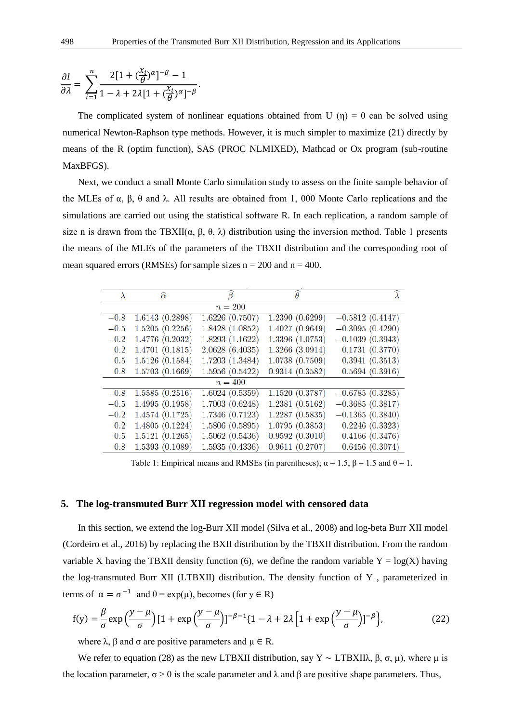$$
\frac{\partial l}{\partial \lambda} = \sum_{i=1}^{n} \frac{2[1 + (\frac{x_i}{\theta})^{\alpha}]^{-\beta} - 1}{1 - \lambda + 2\lambda [1 + (\frac{x_i}{\theta})^{\alpha}]^{-\beta}}.
$$

The complicated system of nonlinear equations obtained from U  $(\eta) = 0$  can be solved using numerical Newton-Raphson type methods. However, it is much simpler to maximize (21) directly by means of the R (optim function), SAS (PROC NLMIXED), Mathcad or Ox program (sub-routine MaxBFGS).

Next, we conduct a small Monte Carlo simulation study to assess on the finite sample behavior of the MLEs of  $\alpha$ ,  $\beta$ ,  $\theta$  and  $\lambda$ . All results are obtained from 1, 000 Monte Carlo replications and the simulations are carried out using the statistical software R. In each replication, a random sample of size n is drawn from the TBXII( $\alpha$ ,  $\beta$ ,  $\theta$ ,  $\lambda$ ) distribution using the inversion method. Table 1 presents the means of the MLEs of the parameters of the TBXII distribution and the corresponding root of mean squared errors (RMSEs) for sample sizes  $n = 200$  and  $n = 400$ .

| $\lambda$ | $\widehat{\alpha}$ | ß               | $\theta$        | $\lambda$         |
|-----------|--------------------|-----------------|-----------------|-------------------|
|           |                    | $n=200$         |                 |                   |
| $-0.8$    | 1.6143 (0.2898)    | 1.6226(0.7507)  | 1.2390(0.6299)  | $-0.5812(0.4147)$ |
| $-0.5$    | 1.5205(0.2256)     | 1.8428 (1.0852) | 1.4027 (0.9649) | $-0.3095(0.4290)$ |
| $-0.2$    | 1.4776 (0.2032)    | 1.8293 (1.1622) | 1.3396 (1.0753) | $-0.1039(0.3943)$ |
| $0.2\,$   | 1.4701 (0.1815)    | 2.0628(6.4035)  | 1.3266(3.0914)  | 0.1731(0.3770)    |
| 0.5       | 1.5126 (0.1584)    | 1.7203 (1.3484) | 1.0738 (0.7509) | 0.3941(0.3513)    |
| 0.8       | 1.5703 (0.1669)    | 1.5956(0.5422)  | 0.9314(0.3582)  | 0.5694(0.3916)    |
|           |                    | $n=400$         |                 |                   |
| $-0.8$    | 1.5585(0.2516)     | 1.6024(0.5359)  | 1.1520(0.3787)  | $-0.6785(0.3285)$ |
| $-0.5$    | 1.4995 (0.1958)    | 1.7003(0.6248)  | 1.2381(0.5162)  | $-0.3685(0.3817)$ |
| $-0.2$    | 1.4574 (0.1725)    | 1.7346 (0.7123) | 1.2287(0.5835)  | $-0.1365(0.3840)$ |
| 0.2       | 1.4805 (0.1224)    | 1.5806(0.5895)  | 1.0795(0.3853)  | 0.2246(0.3323)    |
| 0.5       | 1.5121(0.1265)     | 1.5062(0.5436)  | 0.9592(0.3010)  | 0.4166(0.3476)    |
| 0.8       | 1.5393(0.1089)     | 1.5935(0.4336)  | 0.9611(0.2707)  | 0.6456(0.3074)    |

Table 1: Empirical means and RMSEs (in parentheses);  $\alpha = 1.5$ ,  $\beta = 1.5$  and  $\theta = 1$ .

## **5. The log-transmuted Burr XII regression model with censored data**

In this section, we extend the log-Burr XII model (Silva et al., 2008) and log-beta Burr XII model (Cordeiro et al., 2016) by replacing the BXII distribution by the TBXII distribution. From the random variable X having the TBXII density function (6), we define the random variable  $Y = log(X)$  having the log-transmuted Burr XII (LTBXII) distribution. The density function of Y , parameterized in terms of  $\alpha = \sigma^{-1}$  and  $\theta = \exp(\mu)$ , becomes (for  $y \in R$ )

$$
f(y) = \frac{\beta}{\sigma} \exp\left(\frac{y-\mu}{\sigma}\right) \left[1 + \exp\left(\frac{y-\mu}{\sigma}\right)\right]^{-\beta-1} \left\{1 - \lambda + 2\lambda \left[1 + \exp\left(\frac{y-\mu}{\sigma}\right)\right]^{-\beta}\right\},\tag{22}
$$

where  $\lambda$ ,  $\beta$  and  $\sigma$  are positive parameters and  $\mu \in \mathbb{R}$ .

We refer to equation (28) as the new LTBXII distribution, say Y ~ LTBXII $\lambda$ ,  $\beta$ ,  $\sigma$ ,  $\mu$ ), where  $\mu$  is the location parameter,  $\sigma > 0$  is the scale parameter and  $\lambda$  and  $\beta$  are positive shape parameters. Thus,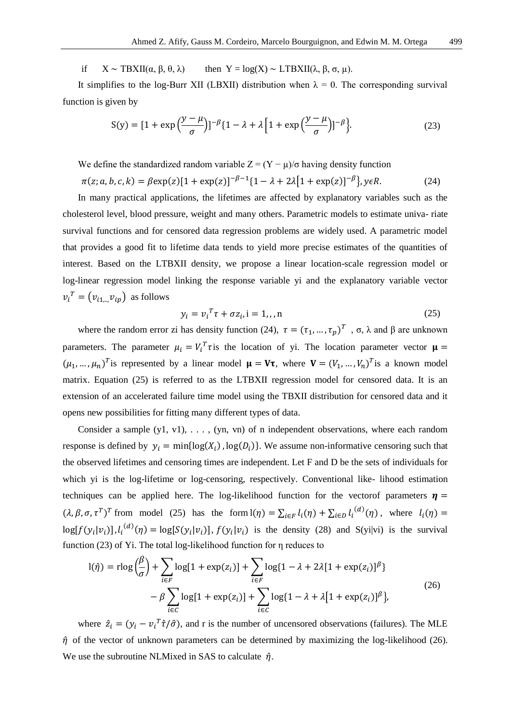if  $X \sim \text{TBXII}(\alpha, \beta, \theta, \lambda)$  then  $Y = \log(X) \sim \text{LTBXII}(\lambda, \beta, \sigma, \mu)$ .

It simplifies to the log-Burr XII (LBXII) distribution when  $\lambda = 0$ . The corresponding survival function is given by

$$
S(y) = \left[1 + \exp\left(\frac{y - \mu}{\sigma}\right)\right]^{-\beta} \left\{1 - \lambda + \lambda \left[1 + \exp\left(\frac{y - \mu}{\sigma}\right)\right]^{-\beta}\right\}.
$$
 (23)

We define the standardized random variable  $Z = (Y - \mu)/\sigma$  having density function

 $\pi(z; a, b, c, k) = \beta \exp(z) [1 + \exp(z)]^{-\beta - 1} \{1 - \lambda + 2\lambda [1 + \exp(z)]^{-\beta}\}, y \in R.$  (24)

In many practical applications, the lifetimes are affected by explanatory variables such as the cholesterol level, blood pressure, weight and many others. Parametric models to estimate univa- riate survival functions and for censored data regression problems are widely used. A parametric model that provides a good fit to lifetime data tends to yield more precise estimates of the quantities of interest. Based on the LTBXII density, we propose a linear location-scale regression model or log-linear regression model linking the response variable yi and the explanatory variable vector  $v_i^T = (v_{i1}^{\text{}}v_{ip})$  as follows

$$
y_i = v_i^T \tau + \sigma z_i, i = 1, \dots, n \tag{25}
$$

where the random error zi has density function (24),  $\tau = (\tau_1, ..., \tau_p)^T$ ,  $\sigma$ ,  $\lambda$  and  $\beta$  are unknown parameters. The parameter  $\mu_i = V_i^T \tau$  is the location of yi. The location parameter vector  $\mu =$  $(\mu_1, ..., \mu_n)^T$  is represented by a linear model  $\mu = V\tau$ , where  $V = (V_1, ..., V_n)^T$  is a known model matrix. Equation (25) is referred to as the LTBXII regression model for censored data. It is an extension of an accelerated failure time model using the TBXII distribution for censored data and it opens new possibilities for fitting many different types of data.

Consider a sample (y1, v1), . . . , (yn, vn) of n independent observations, where each random response is defined by  $y_i = min\{log(X_i), log(D_i)\}$ . We assume non-informative censoring such that the observed lifetimes and censoring times are independent. Let F and D be the sets of individuals for which yi is the log-lifetime or log-censoring, respectively. Conventional like- lihood estimation techniques can be applied here. The log-likelihood function for the vector of parameters  $\eta$  =  $(\lambda, \beta, \sigma, \tau^T)^T$  from model (25) has the form  $I(\eta) = \sum_{i \in F} l_i(\eta) + \sum_{i \in D} l_i^{(d)}(\eta)$ , where  $l_i(\eta) =$  $log[f(y_i|v_i)], l_i^{(d)}(\eta) = log[S(y_i|v_i)], f(y_i|v_i)$  is the density (28) and S(yi|vi) is the survival function (23) of Yi. The total log-likelihood function for η reduces to

$$
l(\hat{\eta}) = r \log \left(\frac{\beta}{\sigma}\right) + \sum_{i \in F} \log[1 + \exp(z_i)] + \sum_{i \in F} \log[1 - \lambda + 2\lambda[1 + \exp(z_i)]^{\beta}]
$$
  
- 
$$
\beta \sum_{i \in C} \log[1 + \exp(z_i)] + \sum_{i \in C} \log[1 - \lambda + \lambda[1 + \exp(z_i)]^{\beta}],
$$
 (26)

where  $\hat{z}_i = (y_i - v_i^T \hat{\tau}/\hat{\sigma})$ , and r is the number of uncensored observations (failures). The MLE  $\hat{\eta}$  of the vector of unknown parameters can be determined by maximizing the log-likelihood (26). We use the subroutine NLMixed in SAS to calculate  $\hat{\eta}$ .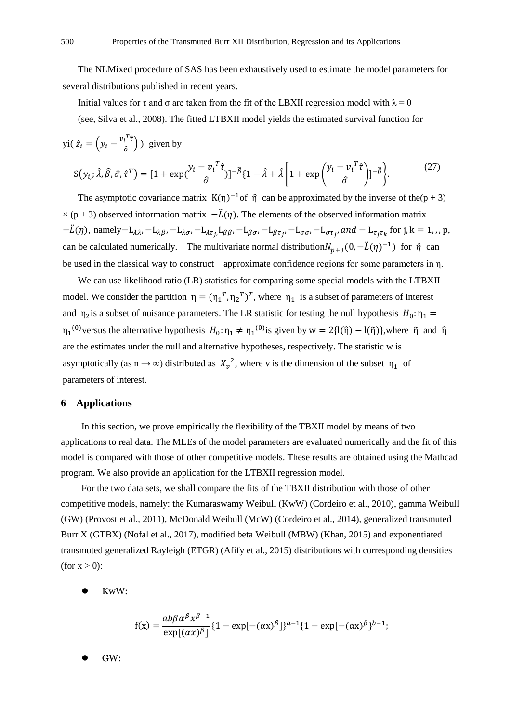The NLMixed procedure of SAS has been exhaustively used to estimate the model parameters for several distributions published in recent years.

Initial values for  $\tau$  and  $\sigma$  are taken from the fit of the LBXII regression model with  $\lambda = 0$ 

(see, Silva et al., 2008). The fitted LTBXII model yields the estimated survival function for

$$
\text{yi}( \hat{z}_i = \left( y_i - \frac{v_i^T \hat{\tau}}{\hat{\sigma}} \right) \text{ given by}
$$
\n
$$
\text{S}(y_{i,:} \hat{\lambda}, \hat{\beta}, \hat{\sigma}, \hat{\tau}^T) = \left[ 1 + \exp\left( \frac{y_i - v_i^T \hat{\tau}}{\hat{\sigma}} \right) \right]^{-\hat{\beta}} \left\{ 1 - \hat{\lambda} + \hat{\lambda} \left[ 1 + \exp\left( \frac{y_i - v_i^T \hat{\tau}}{\hat{\sigma}} \right) \right]^{-\hat{\beta}} \right\}.
$$
\n(27)

The asymptotic covariance matrix  $K(\eta)^{-1}$  of  $\hat{\eta}$  can be approximated by the inverse of the(p + 3)  $\times$  (p + 3) observed information matrix  $-\ddot{L}(\eta)$ . The elements of the observed information matrix  $-\ddot{L}(\eta)$ , namely $-L_{\lambda\lambda}$ ,  $-L_{\lambda\beta}$ ,  $-L_{\lambda\sigma}$ ,  $-L_{\lambda\tau}$ ,  $L_{\beta\beta}$ ,  $-L_{\beta\sigma}$ ,  $-L_{\beta\tau}$ ,  $-L_{\sigma\sigma}$ ,  $-L_{\sigma\tau}$ , and  $-L_{\tau_j\tau_k}$  for j, k = 1,,, p, can be calculated numerically. The multivariate normal distribution $N_{p+3}(0, -\ddot{L}(\eta)^{-1})$  for  $\hat{\eta}$  can be used in the classical way to construct approximate confidence regions for some parameters in η.

We can use likelihood ratio (LR) statistics for comparing some special models with the LTBXII model. We consider the partition  $\eta = (\eta_1^T, \eta_2^T)^T$ , where  $\eta_1$  is a subset of parameters of interest and  $\eta_2$  is a subset of nuisance parameters. The LR statistic for testing the null hypothesis  $H_0: \eta_1 =$  $\eta_1^{(0)}$ versus the alternative hypothesis  $H_0: \eta_1 \neq \eta_1^{(0)}$ is given by  $w = 2\{l(\hat{\eta}) - l(\tilde{\eta})\}$ , where  $\tilde{\eta}$  and  $\hat{\eta}$ are the estimates under the null and alternative hypotheses, respectively. The statistic w is asymptotically (as  $n \to \infty$ ) distributed as  $X_v^2$ , where v is the dimension of the subset  $\eta_1$  of parameters of interest.

#### **6 Applications**

In this section, we prove empirically the flexibility of the TBXII model by means of two applications to real data. The MLEs of the model parameters are evaluated numerically and the fit of this model is compared with those of other competitive models. These results are obtained using the Mathcad program. We also provide an application for the LTBXII regression model.

For the two data sets, we shall compare the fits of the TBXII distribution with those of other competitive models, namely: the Kumaraswamy Weibull (KwW) (Cordeiro et al., 2010), gamma Weibull (GW) (Provost et al., 2011), McDonald Weibull (McW) (Cordeiro et al., 2014), generalized transmuted Burr X (GTBX) (Nofal et al., 2017), modified beta Weibull (MBW) (Khan, 2015) and exponentiated transmuted generalized Rayleigh (ETGR) (Afify et al., 2015) distributions with corresponding densities (for  $x > 0$ ):

⚫ KwW:

$$
f(x) = \frac{ab\beta\alpha^{\beta}x^{\beta-1}}{\exp[(\alpha x)^{\beta}]} \{1 - \exp[-(\alpha x)^{\beta}]\}^{a-1} \{1 - \exp[-(\alpha x)^{\beta}\}^{b-1};
$$

⚫ GW: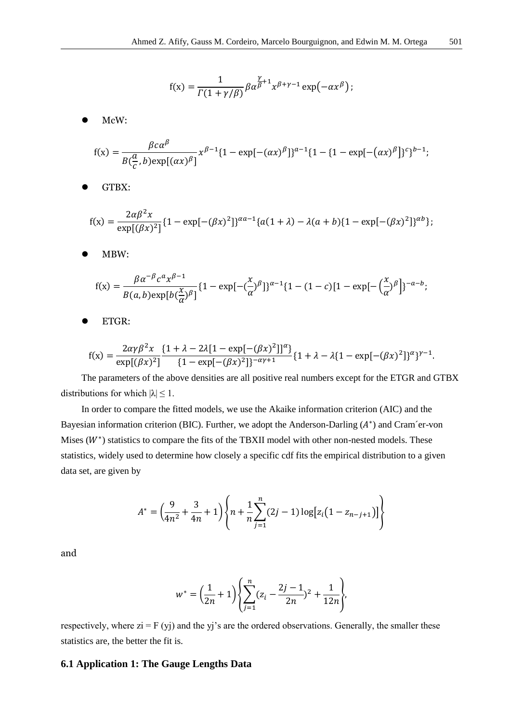$$
\mathbf{f}(\mathbf{x}) = \frac{1}{\Gamma(1+\gamma/\beta)}\beta\alpha^{\frac{\gamma}{\beta}+1}\mathbf{x}^{\beta+\gamma-1}\exp\bigl(-\alpha\mathbf{x}^\beta\bigr)\,;
$$

⚫ McW:

$$
f(x) = \frac{\beta c \alpha^{\beta}}{B(\frac{a}{c}, b) \exp[(\alpha x)^{\beta}]} x^{\beta - 1} \{1 - \exp[-(\alpha x)^{\beta}]\}^{a - 1} \{1 - \{1 - \exp[-(\alpha x)^{\beta}]\}^{c}\}^{b - 1};
$$

GTBX:

$$
f(x) = \frac{2\alpha\beta^2 x}{\exp[(\beta x)^2]} \{1 - \exp[-(\beta x)^2]\}^{\alpha a - 1} \{a(1 + \lambda) - \lambda(a + b)\{1 - \exp[-(\beta x)^2]\}^{\alpha b}\};
$$

⚫ MBW:

$$
f(x) = \frac{\beta \alpha^{-\beta} c^{\alpha} x^{\beta - 1}}{B(a, b) \exp[b(\frac{x}{\alpha})^{\beta}]} \{1 - \exp[-(\frac{x}{\alpha})^{\beta}]\}^{\alpha - 1} \{1 - (1 - c)[1 - \exp[-(\frac{x}{\alpha})^{\beta}]\}^{-\alpha - b};
$$

ETGR:

$$
f(x) = \frac{2\alpha\gamma\beta^2 x}{\exp[(\beta x)^2]} \frac{\{1 + \lambda - 2\lambda[1 - \exp[-(\beta x)^2]]^\alpha\}}{\{1 - \exp[-(\beta x)^2]\}^{-\alpha\gamma + 1}} \{1 + \lambda - \lambda\{1 - \exp[-(\beta x)^2]\}^\alpha\}^{\gamma - 1}.
$$

The parameters of the above densities are all positive real numbers except for the ETGR and GTBX distributions for which  $|\lambda| \leq 1$ .

In order to compare the fitted models, we use the Akaike information criterion (AIC) and the Bayesian information criterion (BIC). Further, we adopt the Anderson-Darling  $(A^*)$  and Cram´er-von Mises  $(W^*)$  statistics to compare the fits of the TBXII model with other non-nested models. These statistics, widely used to determine how closely a specific cdf fits the empirical distribution to a given data set, are given by

$$
A^* = \left(\frac{9}{4n^2} + \frac{3}{4n} + 1\right) \left\{ n + \frac{1}{n} \sum_{j=1}^n (2j-1) \log[z_i(1 - z_{n-j+1})]\right\}
$$

and

$$
w^* = \left(\frac{1}{2n} + 1\right) \left\{ \sum_{j=1}^n (z_i - \frac{2j-1}{2n})^2 + \frac{1}{12n} \right\},\,
$$

respectively, where  $zi = F(yj)$  and the yj's are the ordered observations. Generally, the smaller these statistics are, the better the fit is.

#### **6.1 Application 1: The Gauge Lengths Data**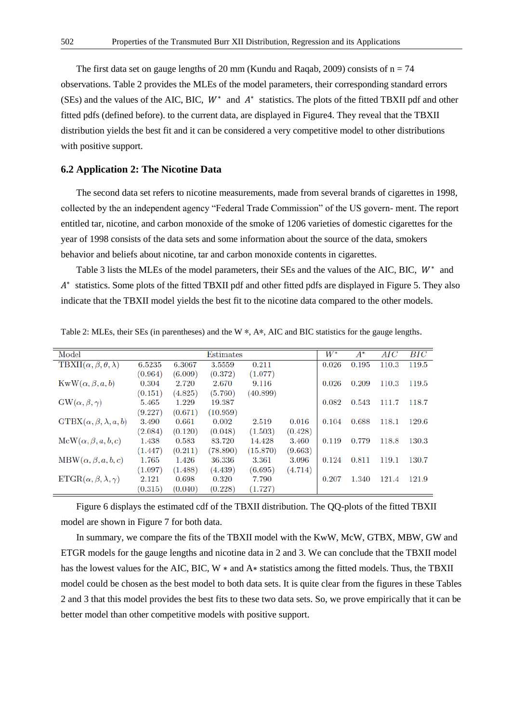The first data set on gauge lengths of 20 mm (Kundu and Raqab, 2009) consists of  $n = 74$ observations. Table 2 provides the MLEs of the model parameters, their corresponding standard errors (SEs) and the values of the AIC, BIC,  $W^*$  and  $A^*$  statistics. The plots of the fitted TBXII pdf and other fitted pdfs (defined before). to the current data, are displayed in Figure4. They reveal that the TBXII distribution yields the best fit and it can be considered a very competitive model to other distributions with positive support.

#### **6.2 Application 2: The Nicotine Data**

The second data set refers to nicotine measurements, made from several brands of cigarettes in 1998, collected by the an independent agency "Federal Trade Commission" of the US govern- ment. The report entitled tar, nicotine, and carbon monoxide of the smoke of 1206 varieties of domestic cigarettes for the year of 1998 consists of the data sets and some information about the source of the data, smokers behavior and beliefs about nicotine, tar and carbon monoxide contents in cigarettes.

Table 3 lists the MLEs of the model parameters, their SEs and the values of the AIC, BIC,  $W^*$  and A<sup>\*</sup> statistics. Some plots of the fitted TBXII pdf and other fitted pdfs are displayed in Figure 5. They also indicate that the TBXII model yields the best fit to the nicotine data compared to the other models.

| Model                                              |         |         | Estimates |          |         | $W^{\ast}$ | $A^\ast$ | AIC   | $_{BIC}$ |
|----------------------------------------------------|---------|---------|-----------|----------|---------|------------|----------|-------|----------|
| TBXII( $\alpha$ , $\beta$ , $\theta$ , $\lambda$ ) | 6.5235  | 6.3067  | 3.5559    | 0.211    |         | 0.026      | 0.195    | 110.3 | 119.5    |
|                                                    | (0.964) | (6.009) | (0.372)   | (1.077)  |         |            |          |       |          |
| $KwW(\alpha, \beta, a, b)$                         | 0.304   | 2.720   | 2.670     | 9.116    |         | 0.026      | 0.209    | 110.3 | 119.5    |
|                                                    | (0.151) | (4.825) | (5.760)   | (40.899) |         |            |          |       |          |
| $GW(\alpha, \beta, \gamma)$                        | 5.465   | 1.229   | 19.387    |          |         | 0.082      | 0.543    | 111.7 | 118.7    |
|                                                    | (9.227) | (0.671) | (10.959)  |          |         |            |          |       |          |
| $GTBX(\alpha, \beta, \lambda, a, b)$               | 3.490   | 0.661   | 0.002     | 2.519    | 0.016   | 0.104      | 0.688    | 118.1 | 129.6    |
|                                                    | (2.084) | (0.120) | (0.048)   | (1.503)  | (0.428) |            |          |       |          |
| $McW(\alpha, \beta, a, b, c)$                      | 1.438   | 0.583   | 83.720    | 14.428   | 3.460   | 0.119      | 0.779    | 118.8 | 130.3    |
|                                                    | (1.447) | (0.211) | (78.890)  | (15.870) | (9.663) |            |          |       |          |
| $MBW(\alpha, \beta, a, b, c)$                      | 1.765   | 1.426   | 36.336    | 3.361    | 3.096   | 0.124      | 0.811    | 119.1 | 130.7    |
|                                                    | (1.097) | (1.488) | (4.439)   | (6.695)  | (4.714) |            |          |       |          |
| $ETGR(\alpha, \beta, \lambda, \gamma)$             | 2.121   | 0.698   | 0.320     | 7.790    |         | 0.207      | 1.340    | 121.4 | 121.9    |
|                                                    | (0.315) | (0.040) | (0.228)   | (1.727)  |         |            |          |       |          |

Table 2: MLEs, their SEs (in parentheses) and the W  $*$ , A $*$ , AIC and BIC statistics for the gauge lengths.

Figure 6 displays the estimated cdf of the TBXII distribution. The QQ-plots of the fitted TBXII model are shown in Figure 7 for both data.

In summary, we compare the fits of the TBXII model with the KwW, McW, GTBX, MBW, GW and ETGR models for the gauge lengths and nicotine data in 2 and 3. We can conclude that the TBXII model has the lowest values for the AIC, BIC, W ∗ and A∗ statistics among the fitted models. Thus, the TBXII model could be chosen as the best model to both data sets. It is quite clear from the figures in these Tables 2 and 3 that this model provides the best fits to these two data sets. So, we prove empirically that it can be better model than other competitive models with positive support.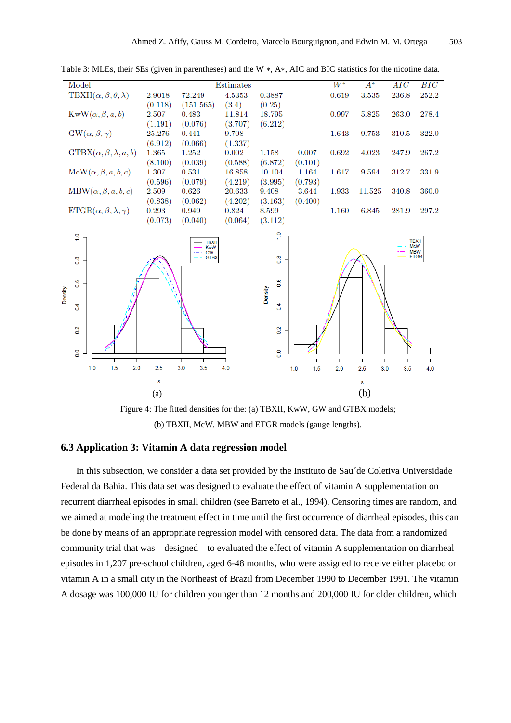| Model                                              |         |           | Estimates |         |         | $W^*$ | $A^*$  | AIC   | $_{BIC}$ |
|----------------------------------------------------|---------|-----------|-----------|---------|---------|-------|--------|-------|----------|
| TBXII( $\alpha$ , $\beta$ , $\theta$ , $\lambda$ ) | 2.9018  | 72.249    | 4.5353    | 0.3887  |         | 0.619 | 3.535  | 236.8 | 252.2    |
|                                                    | (0.118) | (151.565) | (3.4)     | (0.25)  |         |       |        |       |          |
| $KwW(\alpha, \beta, a, b)$                         | 2.507   | 0.483     | 11.814    | 18.795  |         | 0.997 | 5.825  | 263.0 | 278.4    |
|                                                    | (1.191) | (0.076)   | (3.707)   | (6.212) |         |       |        |       |          |
| $GW(\alpha, \beta, \gamma)$                        | 25.276  | 0.441     | 9.708     |         |         | 1.643 | 9.753  | 310.5 | 322.0    |
|                                                    | (6.912) | (0.066)   | (1.337)   |         |         |       |        |       |          |
| $GTBX(\alpha, \beta, \lambda, a, b)$               | 1.365   | 1.252     | 0.002     | 1.158   | 0.007   | 0.692 | 4.023  | 247.9 | 267.2    |
|                                                    | (8.100) | (0.039)   | (0.588)   | (6.872) | (0.101) |       |        |       |          |
| $McW(\alpha, \beta, a, b, c)$                      | 1.307   | 0.531     | 16.858    | 10.104  | 1.164   | 1.617 | 9.594  | 312.7 | 331.9    |
|                                                    | (0.596) | (0.079)   | (4.219)   | (3.995) | (0.793) |       |        |       |          |
| $MBW(\alpha, \beta, a, b, c)$                      | 2.509   | 0.626     | 20.633    | 9.408   | 3.644   | 1.933 | 11.525 | 340.8 | 360.0    |
|                                                    | (0.838) | (0.062)   | (4.202)   | (3.163) | (0.400) |       |        |       |          |
| $ETGR(\alpha, \beta, \lambda, \gamma)$             | 0.293   | 0.949     | 0.824     | 8.599   |         | 1.160 | 6.845  | 281.9 | 297.2    |
|                                                    | (0.073) | (0.040)   | (0.064)   | (3.112) |         |       |        |       |          |
|                                                    |         |           |           |         |         |       |        |       |          |

Table 3: MLEs, their SEs (given in parentheses) and the W ∗, A∗, AIC and BIC statistics for the nicotine data.



Figure 4: The fitted densities for the: (a) TBXII, KwW, GW and GTBX models; (b) TBXII, McW, MBW and ETGR models (gauge lengths).

# **6.3 Application 3: Vitamin A data regression model**

In this subsection, we consider a data set provided by the Instituto de Sau´de Coletiva Universidade Federal da Bahia. This data set was designed to evaluate the effect of vitamin A supplementation on recurrent diarrheal episodes in small children (see Barreto et al., 1994). Censoring times are random, and we aimed at modeling the treatment effect in time until the first occurrence of diarrheal episodes, this can be done by means of an appropriate regression model with censored data. The data from a randomized community trial that was designed to evaluated the effect of vitamin A supplementation on diarrheal episodes in 1,207 pre-school children, aged 6-48 months, who were assigned to receive either placebo or vitamin A in a small city in the Northeast of Brazil from December 1990 to December 1991. The vitamin A dosage was 100,000 IU for children younger than 12 months and 200,000 IU for older children, which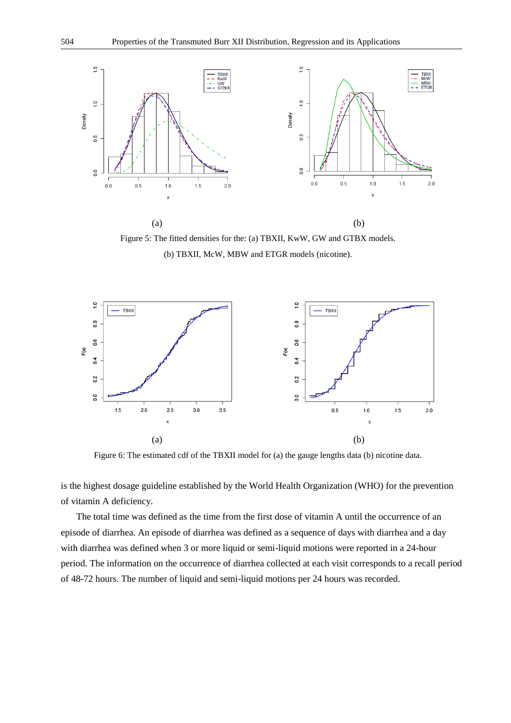

Figure 5: The fitted densities for the: (a) TBXII, KwW, GW and GTBX models. (b) TBXII, McW, MBW and ETGR models (nicotine).



Figure 6: The estimated cdf of the TBXII model for (a) the gauge lengths data (b) nicotine data.

is the highest dosage guideline established by the World Health Organization (WHO) for the prevention of vitamin A deficiency.

The total time was defined as the time from the first dose of vitamin A until the occurrence of an episode of diarrhea. An episode of diarrhea was defined as a sequence of days with diarrhea and a day with diarrhea was defined when 3 or more liquid or semi-liquid motions were reported in a 24-hour period. The information on the occurrence of diarrhea collected at each visit corresponds to a recall period of 48-72 hours. The number of liquid and semi-liquid motions per 24 hours was recorded.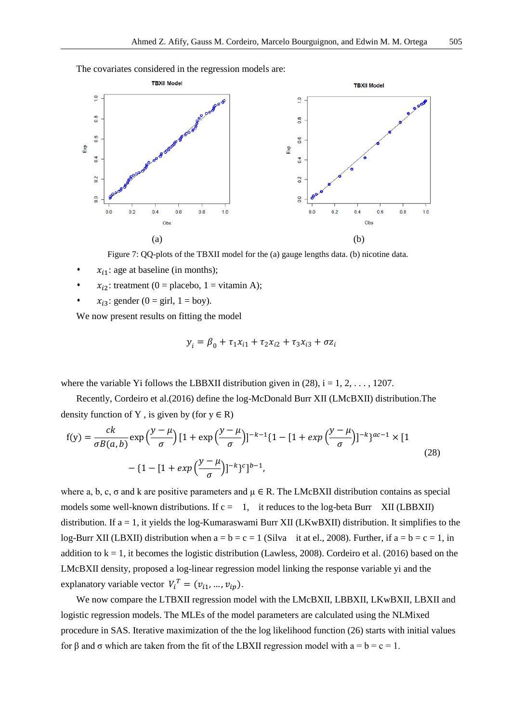The covariates considered in the regression models are:



Figure 7: QQ-plots of the TBXII model for the (a) gauge lengths data. (b) nicotine data.

- $x_{i1}$ : age at baseline (in months);
- $x_{i2}$ : treatment (0 = placebo, 1 = vitamin A);
- $x_{i3}$ : gender (0 = girl, 1 = boy).

We now present results on fitting the model

$$
y_i = \beta_0 + \tau_1 x_{i1} + \tau_2 x_{i2} + \tau_3 x_{i3} + \sigma z_i
$$

where the variable Yi follows the LBBXII distribution given in  $(28)$ ,  $i = 1, 2, \ldots, 1207$ .

Recently, Cordeiro et al.(2016) define the log-McDonald Burr XII (LMcBXII) distribution.The density function of Y, is given by (for  $y \in R$ )

$$
f(y) = \frac{ck}{\sigma B(a, b)} \exp\left(\frac{y - \mu}{\sigma}\right) [1 + \exp\left(\frac{y - \mu}{\sigma}\right)]^{-k-1} \{1 - [1 + \exp\left(\frac{y - \mu}{\sigma}\right)]^{-k}\}^{ac-1} \times [1 - [1 + \exp\left(\frac{y - \mu}{\sigma}\right)]^{-k}\}^{c}]^{b-1},
$$
\n(28)

where a, b, c,  $\sigma$  and k are positive parameters and  $\mu \in R$ . The LMcBXII distribution contains as special models some well-known distributions. If  $c = 1$ , it reduces to the log-beta Burr XII (LBBXII) distribution. If  $a = 1$ , it yields the log-Kumaraswami Burr XII (LKwBXII) distribution. It simplifies to the log-Burr XII (LBXII) distribution when  $a = b = c = 1$  (Silva it at el., 2008). Further, if  $a = b = c = 1$ , in addition to  $k = 1$ , it becomes the logistic distribution (Lawless, 2008). Cordeiro et al. (2016) based on the LMcBXII density, proposed a log-linear regression model linking the response variable yi and the explanatory variable vector  $V_i^T = (v_{i1}, ..., v_{ip}).$ 

We now compare the LTBXII regression model with the LMcBXII, LBBXII, LKwBXII, LBXII and logistic regression models. The MLEs of the model parameters are calculated using the NLMixed procedure in SAS. Iterative maximization of the the log likelihood function (26) starts with initial values for β and σ which are taken from the fit of the LBXII regression model with  $a = b = c = 1$ .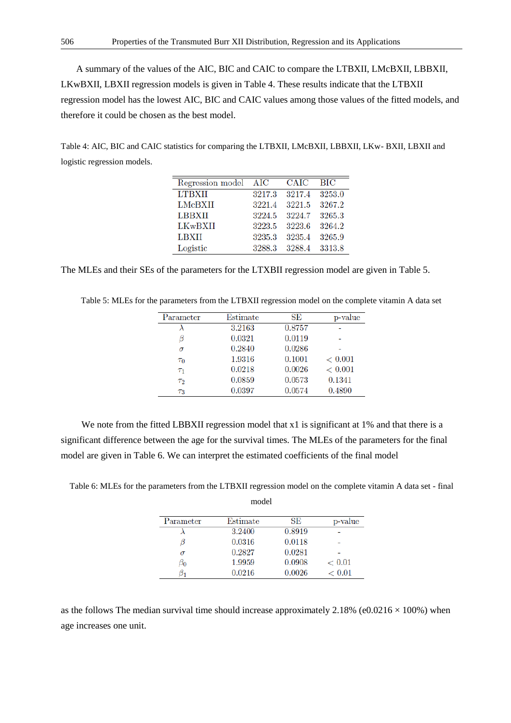A summary of the values of the AIC, BIC and CAIC to compare the LTBXII, LMcBXII, LBBXII, LKwBXII, LBXII regression models is given in Table 4. These results indicate that the LTBXII regression model has the lowest AIC, BIC and CAIC values among those values of the fitted models, and therefore it could be chosen as the best model.

Table 4: AIC, BIC and CAIC statistics for comparing the LTBXII, LMcBXII, LBBXII, LKw- BXII, LBXII and logistic regression models.

| Regression model AIC |        | <b>CAIC</b> | BІC    |
|----------------------|--------|-------------|--------|
| <b>LTBXII</b>        | 3217.3 | 3217.4      | 3253.0 |
| LMcBXII              | 3221.4 | 3221.5      | 3267.2 |
| <b>LBBXII</b>        | 3224.5 | 3224.7      | 3265.3 |
| LKwBXII              | 3223.5 | 3223.6      | 3264.2 |
| LBXII                | 3235.3 | 3235.4      | 3265.9 |
| Logistic             | 3288.3 | 3288.4      | 3313.8 |

The MLEs and their SEs of the parameters for the LTXBII regression model are given in Table 5.

| Parameter | Estimate | SE     | p-value     |
|-----------|----------|--------|-------------|
|           | 3.2163   | 0.8757 |             |
|           | 0.0321   | 0.0119 |             |
| σ         | 0.2840   | 0.0286 |             |
| $\tau_0$  | 1.9316   | 0.1001 | ${}< 0.001$ |
| $T_1$     | 0.0218   | 0.0026 | ${}< 0.001$ |
| $\tau_2$  | 0.0859   | 0.0573 | 0.1341      |
| $T_3$     | 0.0397   | 0.0574 | 0.4890      |

Table 5: MLEs for the parameters from the LTBXII regression model on the complete vitamin A data set

We note from the fitted LBBXII regression model that x1 is significant at 1% and that there is a significant difference between the age for the survival times. The MLEs of the parameters for the final model are given in Table 6. We can interpret the estimated coefficients of the final model

Table 6: MLEs for the parameters from the LTBXII regression model on the complete vitamin A data set - final

| model     |          |        |         |  |  |  |
|-----------|----------|--------|---------|--|--|--|
| Parameter | Estimate | SE     | p-value |  |  |  |
|           | 3.2400   | 0.8919 |         |  |  |  |
|           | 0.0316   | 0.0118 |         |  |  |  |
| σ         | 0.2827   | 0.0281 |         |  |  |  |
| $\beta_0$ | 1.9959   | 0.0908 | < 0.01  |  |  |  |
|           | 0.0216   | 0.0026 | < 0.01  |  |  |  |

as the follows The median survival time should increase approximately 2.18% (e0.0216  $\times$  100%) when age increases one unit.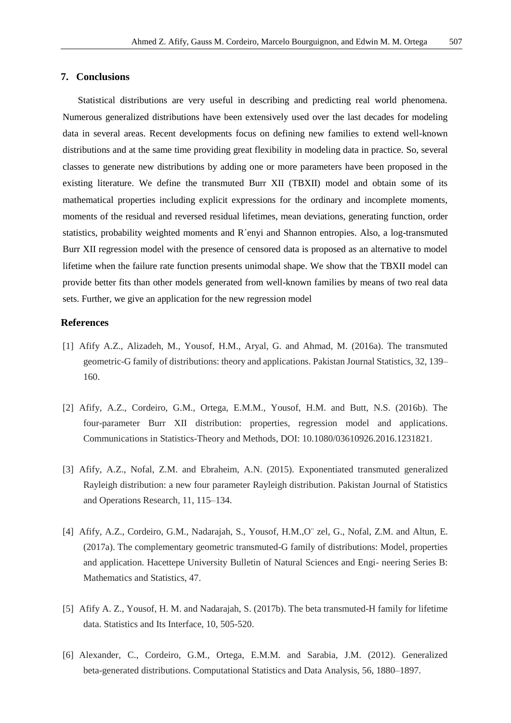Statistical distributions are very useful in describing and predicting real world phenomena. Numerous generalized distributions have been extensively used over the last decades for modeling data in several areas. Recent developments focus on defining new families to extend well-known distributions and at the same time providing great flexibility in modeling data in practice. So, several classes to generate new distributions by adding one or more parameters have been proposed in the existing literature. We define the transmuted Burr XII (TBXII) model and obtain some of its mathematical properties including explicit expressions for the ordinary and incomplete moments, moments of the residual and reversed residual lifetimes, mean deviations, generating function, order statistics, probability weighted moments and R´enyi and Shannon entropies. Also, a log-transmuted Burr XII regression model with the presence of censored data is proposed as an alternative to model lifetime when the failure rate function presents unimodal shape. We show that the TBXII model can provide better fits than other models generated from well-known families by means of two real data sets. Further, we give an application for the new regression model

# **References**

- [1] Afify A.Z., Alizadeh, M., Yousof, H.M., Aryal, G. and Ahmad, M. (2016a). The transmuted geometric-G family of distributions: theory and applications. Pakistan Journal Statistics, 32, 139– 160.
- [2] Afify, A.Z., Cordeiro, G.M., Ortega, E.M.M., Yousof, H.M. and Butt, N.S. (2016b). The four-parameter Burr XII distribution: properties, regression model and applications. Communications in Statistics-Theory and Methods, DOI: 10.1080/03610926.2016.1231821.
- [3] Afify, A.Z., Nofal, Z.M. and Ebraheim, A.N. (2015). Exponentiated transmuted generalized Rayleigh distribution: a new four parameter Rayleigh distribution. Pakistan Journal of Statistics and Operations Research, 11, 115–134.
- [4] Afify, A.Z., Cordeiro, G.M., Nadarajah, S., Yousof, H.M.,O¨ zel, G., Nofal, Z.M. and Altun, E. (2017a). The complementary geometric transmuted-G family of distributions: Model, properties and application. Hacettepe University Bulletin of Natural Sciences and Engi- neering Series B: Mathematics and Statistics, 47.
- [5] Afify A. Z., Yousof, H. M. and Nadarajah, S. (2017b). The beta transmuted-H family for lifetime data. Statistics and Its Interface, 10, 505-520.
- [6] Alexander, C., Cordeiro, G.M., Ortega, E.M.M. and Sarabia, J.M. (2012). Generalized beta-generated distributions. Computational Statistics and Data Analysis, 56, 1880–1897.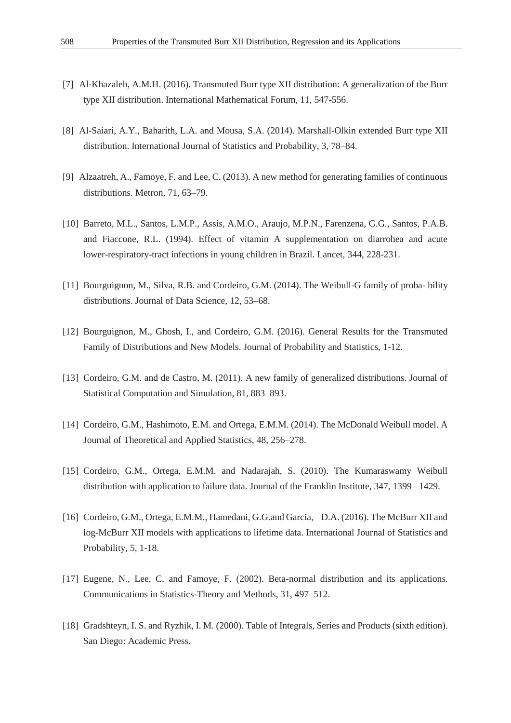- [7] Al-Khazaleh, A.M.H. (2016). Transmuted Burr type XII distribution: A generalization of the Burr type XII distribution. International Mathematical Forum, 11, 547-556.
- [8] Al-Saiari, A.Y., Baharith, L.A. and Mousa, S.A. (2014). Marshall-Olkin extended Burr type XII distribution. International Journal of Statistics and Probability, 3, 78–84.
- [9] Alzaatreh, A., Famoye, F. and Lee, C. (2013). A new method for generating families of continuous distributions. Metron, 71, 63–79.
- [10] Barreto, M.L., Santos, L.M.P., Assis, A.M.O., Araujo, M.P.N., Farenzena, G.G., Santos, P.A.B. and Fiaccone, R.L. (1994). Effect of vitamin A supplementation on diarrohea and acute lower-respiratory-tract infections in young children in Brazil. Lancet, 344, 228-231.
- [11] Bourguignon, M., Silva, R.B. and Cordeiro, G.M. (2014). The Weibull-G family of proba- bility distributions. Journal of Data Science, 12, 53–68.
- [12] Bourguignon, M., Ghosh, I., and Cordeiro, G.M. (2016). General Results for the Transmuted Family of Distributions and New Models. Journal of Probability and Statistics, 1-12.
- [13] Cordeiro, G.M. and de Castro, M. (2011). A new family of generalized distributions. Journal of Statistical Computation and Simulation, 81, 883–893.
- [14] Cordeiro, G.M., Hashimoto, E.M. and Ortega, E.M.M. (2014). The McDonald Weibull model. A Journal of Theoretical and Applied Statistics, 48, 256–278.
- [15] Cordeiro, G.M., Ortega, E.M.M. and Nadarajah, S. (2010). The Kumaraswamy Weibull distribution with application to failure data. Journal of the Franklin Institute, 347, 1399– 1429.
- [16] Cordeiro, G.M., Ortega, E.M.M., Hamedani, G.G.and Garcia, D.A. (2016). The McBurr XII and log-McBurr XII models with applications to lifetime data. International Journal of Statistics and Probability, 5, 1-18.
- [17] Eugene, N., Lee, C. and Famoye, F. (2002). Beta-normal distribution and its applications. Communications in Statistics-Theory and Methods, 31, 497–512.
- [18] Gradshteyn, I. S. and Ryzhik, I. M. (2000). Table of Integrals, Series and Products (sixth edition). San Diego: Academic Press.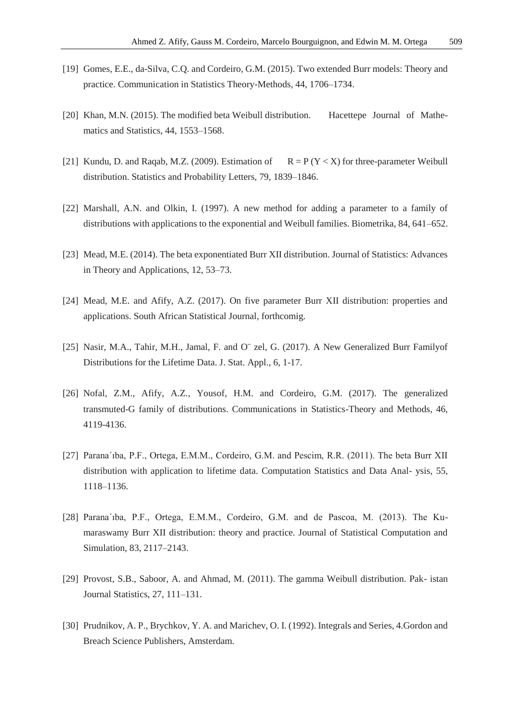- [19] Gomes, E.E., da-Silva, C.Q. and Cordeiro, G.M. (2015). Two extended Burr models: Theory and practice. Communication in Statistics Theory-Methods, 44, 1706–1734.
- [20] Khan, M.N. (2015). The modified beta Weibull distribution. Hacettepe Journal of Mathematics and Statistics, 44, 1553–1568.
- [21] Kundu, D. and Raqab, M.Z. (2009). Estimation of  $R = P(Y < X)$  for three-parameter Weibull distribution. Statistics and Probability Letters, 79, 1839–1846.
- [22] Marshall, A.N. and Olkin, I. (1997). A new method for adding a parameter to a family of distributions with applications to the exponential and Weibull families. Biometrika, 84, 641–652.
- [23] Mead, M.E. (2014). The beta exponentiated Burr XII distribution. Journal of Statistics: Advances in Theory and Applications, 12, 53–73.
- [24] Mead, M.E. and Afify, A.Z. (2017). On five parameter Burr XII distribution: properties and applications. South African Statistical Journal, forthcomig.
- [25] Nasir, M.A., Tahir, M.H., Jamal, F. and O¨ zel, G. (2017). A New Generalized Burr Familyof Distributions for the Lifetime Data. J. Stat. Appl., 6, 1-17.
- [26] Nofal, Z.M., Afify, A.Z., Yousof, H.M. and Cordeiro, G.M. (2017). The generalized transmuted-G family of distributions. Communications in Statistics-Theory and Methods, 46, 4119-4136.
- [27] Parana´ıba, P.F., Ortega, E.M.M., Cordeiro, G.M. and Pescim, R.R. (2011). The beta Burr XII distribution with application to lifetime data. Computation Statistics and Data Anal- ysis, 55, 1118–1136.
- [28] Parana´ıba, P.F., Ortega, E.M.M., Cordeiro, G.M. and de Pascoa, M. (2013). The Kumaraswamy Burr XII distribution: theory and practice. Journal of Statistical Computation and Simulation, 83, 2117–2143.
- [29] Provost, S.B., Saboor, A. and Ahmad, M. (2011). The gamma Weibull distribution. Pak- istan Journal Statistics, 27, 111–131.
- [30] Prudnikov, A. P., Brychkov, Y. A. and Marichev, O. I. (1992). Integrals and Series, 4.Gordon and Breach Science Publishers, Amsterdam.